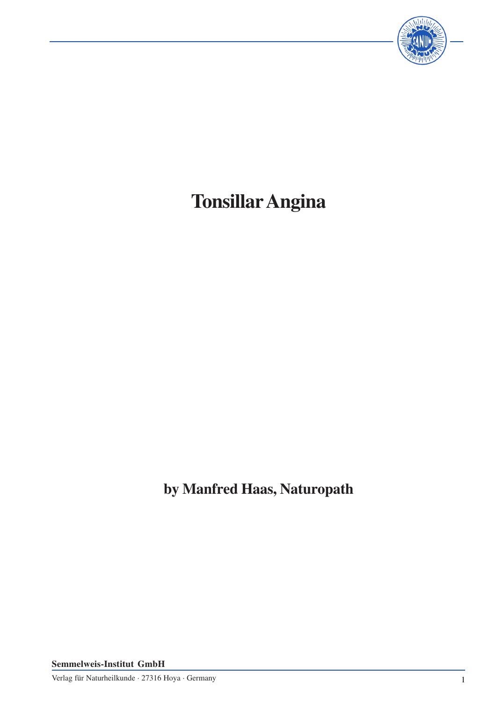

# **TonsillarAngina**

**by Manfred Haas, Naturopath**

**Semmelweis-Institut GmbH**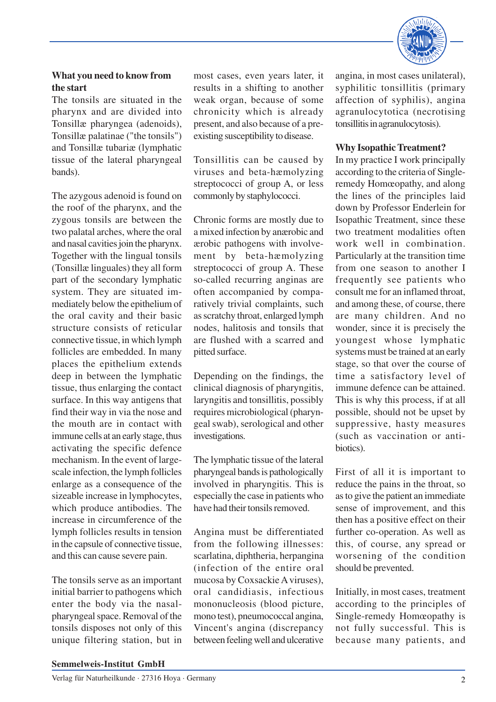

## **What you need to know from the start**

The tonsils are situated in the pharynx and are divided into Tonsillæ pharyngea (adenoids), Tonsillæ palatinae ("the tonsils") and Tonsillæ tubariæ (lymphatic tissue of the lateral pharyngeal bands).

The azygous adenoid is found on the roof of the pharynx, and the zygous tonsils are between the two palatal arches, where the oral and nasal cavities join the pharynx. Together with the lingual tonsils (Tonsillæ linguales) they all form part of the secondary lymphatic system. They are situated immediately below the epithelium of the oral cavity and their basic structure consists of reticular connective tissue, in which lymph follicles are embedded. In many places the epithelium extends deep in between the lymphatic tissue, thus enlarging the contact surface. In this way antigens that find their way in via the nose and the mouth are in contact with immune cells at an early stage, thus activating the specific defence mechanism. In the event of largescale infection, the lymph follicles enlarge as a consequence of the sizeable increase in lymphocytes, which produce antibodies. The increase in circumference of the lymph follicles results in tension in the capsule of connective tissue, and this can cause severe pain.

The tonsils serve as an important initial barrier to pathogens which enter the body via the nasalpharyngeal space. Removal of the tonsils disposes not only of this unique filtering station, but in

most cases, even years later, it results in a shifting to another weak organ, because of some chronicity which is already present, and also because of a preexisting susceptibility to disease.

Tonsillitis can be caused by viruses and beta-hæmolyzing streptococci of group A, or less commonly by staphylococci.

Chronic forms are mostly due to a mixed infection by anærobic and ærobic pathogens with involvement by beta-hæmolyzing streptococci of group A. These so-called recurring anginas are often accompanied by comparatively trivial complaints, such as scratchy throat, enlarged lymph nodes, halitosis and tonsils that are flushed with a scarred and pitted surface.

Depending on the findings, the clinical diagnosis of pharyngitis, laryngitis and tonsillitis, possibly requires microbiological (pharyngeal swab), serological and other investigations.

The lymphatic tissue of the lateral pharyngeal bands is pathologically involved in pharyngitis. This is especially the case in patients who have had their tonsils removed.

Angina must be differentiated from the following illnesses: scarlatina, diphtheria, herpangina (infection of the entire oral mucosa by Coxsackie A viruses), oral candidiasis, infectious mononucleosis (blood picture, mono test), pneumococcal angina, Vincent's angina (discrepancy between feeling well and ulcerative

angina, in most cases unilateral), syphilitic tonsillitis (primary affection of syphilis), angina agranulocytotica (necrotising tonsillitis in agranulocytosis).

#### **Why Isopathic Treatment?**

In my practice I work principally according to the criteria of Singleremedy Homœopathy, and along the lines of the principles laid down by Professor Enderlein for Isopathic Treatment, since these two treatment modalities often work well in combination. Particularly at the transition time from one season to another I frequently see patients who consult me for an inflamed throat, and among these, of course, there are many children. And no wonder, since it is precisely the youngest whose lymphatic systems must be trained at an early stage, so that over the course of time a satisfactory level of immune defence can be attained. This is why this process, if at all possible, should not be upset by suppressive, hasty measures (such as vaccination or antibiotics).

First of all it is important to reduce the pains in the throat, so as to give the patient an immediate sense of improvement, and this then has a positive effect on their further co-operation. As well as this, of course, any spread or worsening of the condition should be prevented.

Initially, in most cases, treatment according to the principles of Single-remedy Homœopathy is not fully successful. This is because many patients, and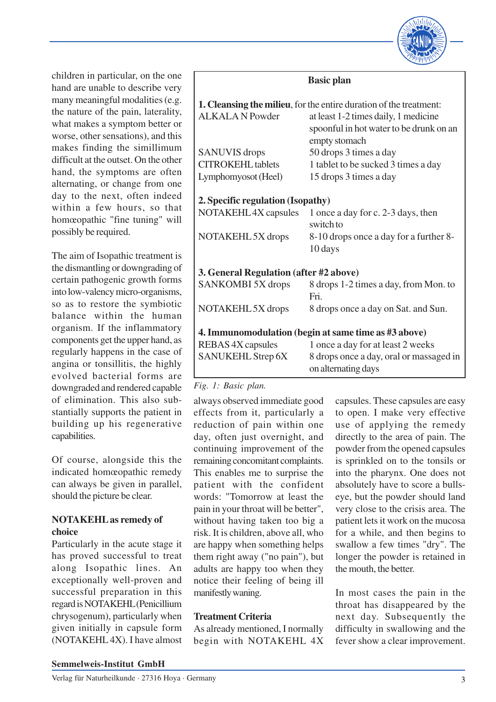

children in particular, on the one hand are unable to describe very many meaningful modalities (e.g. the nature of the pain, laterality, what makes a symptom better or worse, other sensations), and this makes finding the simillimum difficult at the outset. On the other hand, the symptoms are often alternating, or change from one day to the next, often indeed within a few hours, so that homœopathic "fine tuning" will possibly be required.

Г

The aim of Isopathic treatment is the dismantling or downgrading of certain pathogenic growth forms into low-valency micro-organisms, so as to restore the symbiotic balance within the human organism. If the inflammatory components get the upper hand, as regularly happens in the case of angina or tonsillitis, the highly evolved bacterial forms are downgraded and rendered capable of elimination. This also substantially supports the patient in building up his regenerative capabilities.

Of course, alongside this the indicated homœopathic remedy can always be given in parallel, should the picture be clear.

#### **NOTAKEHL as remedy of choice**

Particularly in the acute stage it has proved successful to treat along Isopathic lines. An exceptionally well-proven and successful preparation in this regard is NOTAKEHL (Penicillium chrysogenum), particularly when given initially in capsule form (NOTAKEHL 4X). I have almost

|                                        | <b>Basic plan</b>                                                                                |
|----------------------------------------|--------------------------------------------------------------------------------------------------|
|                                        | 1. Cleansing the milieu, for the entire duration of the treatment:                               |
| <b>ALKALA N Powder</b>                 | at least 1-2 times daily, 1 medicine<br>spoonful in hot water to be drunk on an<br>empty stomach |
| <b>SANUVIS</b> drops                   | 50 drops 3 times a day                                                                           |
| <b>CITROKEHL</b> tablets               | 1 tablet to be sucked 3 times a day                                                              |
| Lymphomyosot (Heel)                    | 15 drops 3 times a day                                                                           |
| 2. Specific regulation (Isopathy)      |                                                                                                  |
| NOTAKEHL 4X capsules                   | 1 once a day for c. 2-3 days, then<br>switch to                                                  |
| NOTAKEHL 5X drops                      | 8-10 drops once a day for a further 8-<br>10 days                                                |
| 3. General Regulation (after #2 above) |                                                                                                  |
| SANKOMBI 5X drops                      | 8 drops 1-2 times a day, from Mon. to<br>Fri                                                     |
| NOTAKEHL 5X drops                      | 8 drops once a day on Sat. and Sun.                                                              |
|                                        | 4. Immunomodulation (begin at same time as #3 above)                                             |
| REBAS 4X capsules                      | 1 once a day for at least 2 weeks                                                                |
| <b>SANUKEHL Strep 6X</b>               | 8 drops once a day, oral or massaged in<br>on alternating days                                   |

#### *Fig. 1: Basic plan.*

always observed immediate good effects from it, particularly a reduction of pain within one day, often just overnight, and continuing improvement of the remaining concomitant complaints. This enables me to surprise the patient with the confident words: "Tomorrow at least the pain in your throat will be better", without having taken too big a risk. It is children, above all, who are happy when something helps them right away ("no pain"), but adults are happy too when they notice their feeling of being ill manifestly waning.

### **Treatment Criteria**

As already mentioned, I normally begin with NOTAKEHL 4X capsules. These capsules are easy to open. I make very effective use of applying the remedy directly to the area of pain. The powder from the opened capsules is sprinkled on to the tonsils or into the pharynx. One does not absolutely have to score a bullseye, but the powder should land very close to the crisis area. The patient lets it work on the mucosa for a while, and then begins to swallow a few times "dry". The longer the powder is retained in the mouth, the better.

In most cases the pain in the throat has disappeared by the next day. Subsequently the difficulty in swallowing and the fever show a clear improvement.